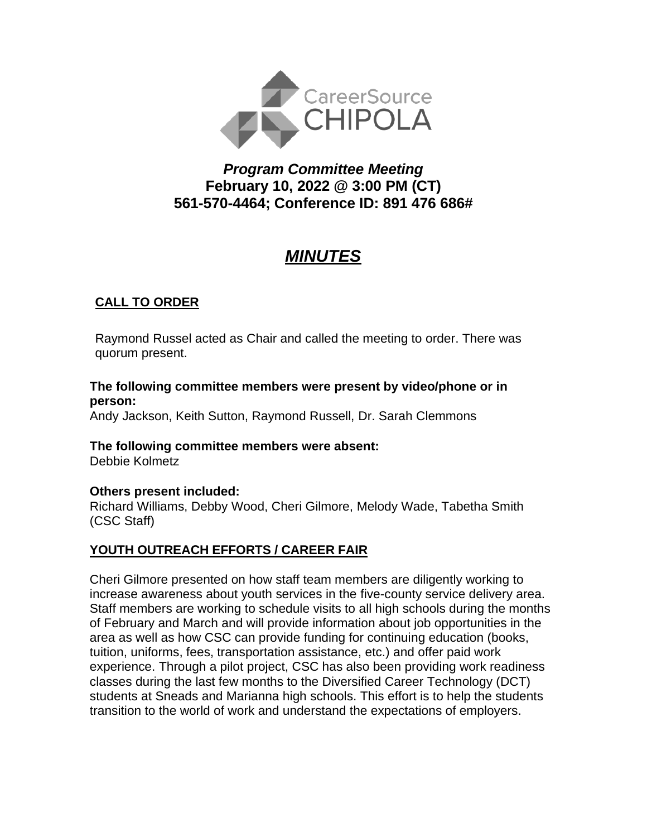

## *Program Committee Meeting* **February 10, 2022 @ 3:00 PM (CT) 561-570-4464; Conference ID: 891 476 686#**

# *MINUTES*

## **CALL TO ORDER**

Raymond Russel acted as Chair and called the meeting to order. There was quorum present.

**The following committee members were present by video/phone or in person:**

Andy Jackson, Keith Sutton, Raymond Russell, Dr. Sarah Clemmons

**The following committee members were absent:**

Debbie Kolmetz

#### **Others present included:**

Richard Williams, Debby Wood, Cheri Gilmore, Melody Wade, Tabetha Smith (CSC Staff)

#### **YOUTH OUTREACH EFFORTS / CAREER FAIR**

Cheri Gilmore presented on how staff team members are diligently working to increase awareness about youth services in the five-county service delivery area. Staff members are working to schedule visits to all high schools during the months of February and March and will provide information about job opportunities in the area as well as how CSC can provide funding for continuing education (books, tuition, uniforms, fees, transportation assistance, etc.) and offer paid work experience. Through a pilot project, CSC has also been providing work readiness classes during the last few months to the Diversified Career Technology (DCT) students at Sneads and Marianna high schools. This effort is to help the students transition to the world of work and understand the expectations of employers.